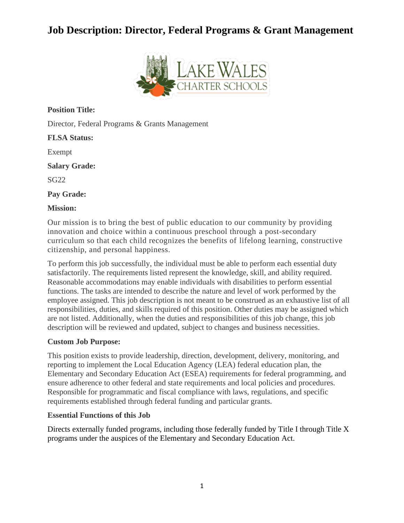## **Job Description: Director, Federal Programs & Grant Management**



**Position Title:**

Director, Federal Programs & Grants Management

**FLSA Status:**

Exempt

**Salary Grade:**

SG22

**Pay Grade:**

**Mission:**

Our mission is to bring the best of public education to our community by providing innovation and choice within a continuous preschool through a post-secondary curriculum so that each child recognizes the benefits of lifelong learning, constructive citizenship, and personal happiness.

To perform this job successfully, the individual must be able to perform each essential duty satisfactorily. The requirements listed represent the knowledge, skill, and ability required. Reasonable accommodations may enable individuals with disabilities to perform essential functions. The tasks are intended to describe the nature and level of work performed by the employee assigned. This job description is not meant to be construed as an exhaustive list of all responsibilities, duties, and skills required of this position. Other duties may be assigned which are not listed. Additionally, when the duties and responsibilities of this job change, this job description will be reviewed and updated, subject to changes and business necessities.

### **Custom Job Purpose:**

This position exists to provide leadership, direction, development, delivery, monitoring, and reporting to implement the Local Education Agency (LEA) federal education plan, the Elementary and Secondary Education Act (ESEA) requirements for federal programming, and ensure adherence to other federal and state requirements and local policies and procedures. Responsible for programmatic and fiscal compliance with laws, regulations, and specific requirements established through federal funding and particular grants.

### **Essential Functions of this Job**

Directs externally funded programs, including those federally funded by Title I through Title X programs under the auspices of the Elementary and Secondary Education Act.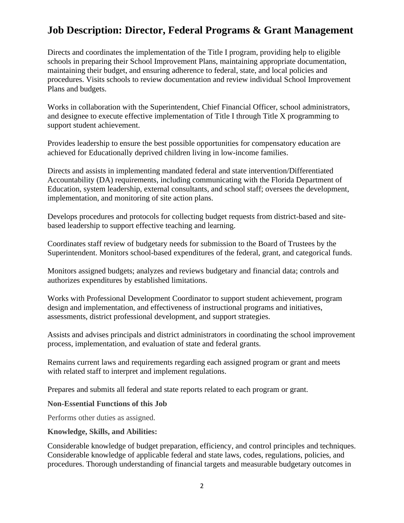## **Job Description: Director, Federal Programs & Grant Management**

Directs and coordinates the implementation of the Title I program, providing help to eligible schools in preparing their School Improvement Plans, maintaining appropriate documentation, maintaining their budget, and ensuring adherence to federal, state, and local policies and procedures. Visits schools to review documentation and review individual School Improvement Plans and budgets.

Works in collaboration with the Superintendent, Chief Financial Officer, school administrators, and designee to execute effective implementation of Title I through Title X programming to support student achievement.

Provides leadership to ensure the best possible opportunities for compensatory education are achieved for Educationally deprived children living in low-income families.

Directs and assists in implementing mandated federal and state intervention/Differentiated Accountability (DA) requirements, including communicating with the Florida Department of Education, system leadership, external consultants, and school staff; oversees the development, implementation, and monitoring of site action plans.

Develops procedures and protocols for collecting budget requests from district-based and sitebased leadership to support effective teaching and learning.

Coordinates staff review of budgetary needs for submission to the Board of Trustees by the Superintendent. Monitors school-based expenditures of the federal, grant, and categorical funds.

Monitors assigned budgets; analyzes and reviews budgetary and financial data; controls and authorizes expenditures by established limitations.

Works with Professional Development Coordinator to support student achievement, program design and implementation, and effectiveness of instructional programs and initiatives, assessments, district professional development, and support strategies.

Assists and advises principals and district administrators in coordinating the school improvement process, implementation, and evaluation of state and federal grants.

Remains current laws and requirements regarding each assigned program or grant and meets with related staff to interpret and implement regulations.

Prepares and submits all federal and state reports related to each program or grant.

### **Non-Essential Functions of this Job**

Performs other duties as assigned.

### **Knowledge, Skills, and Abilities:**

Considerable knowledge of budget preparation, efficiency, and control principles and techniques. Considerable knowledge of applicable federal and state laws, codes, regulations, policies, and procedures. Thorough understanding of financial targets and measurable budgetary outcomes in